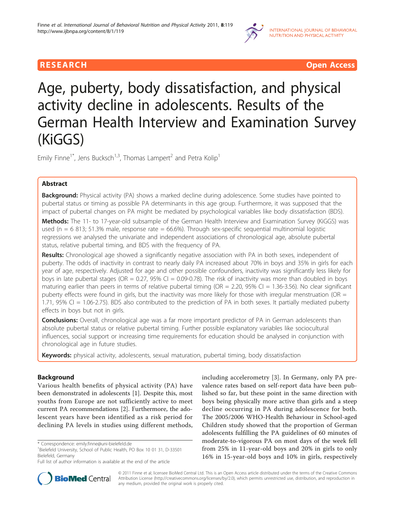

**RESEARCH Open Access CONTRACTES AND ACCESS CONTRACTES AND ACCESS CONTRACTES AND ACCESS** 

# Age, puberty, body dissatisfaction, and physical activity decline in adolescents. Results of the German Health Interview and Examination Survey (KiGGS)

Emily Finne<sup>1\*</sup>, Jens Bucksch<sup>1,3</sup>, Thomas Lampert<sup>2</sup> and Petra Kolip<sup>1</sup>

# Abstract

**Background:** Physical activity (PA) shows a marked decline during adolescence. Some studies have pointed to pubertal status or timing as possible PA determinants in this age group. Furthermore, it was supposed that the impact of pubertal changes on PA might be mediated by psychological variables like body dissatisfaction (BDS).

Methods: The 11- to 17-year-old subsample of the German Health Interview and Examination Survey (KiGGS) was used ( $n = 6813$ ; 51.3% male, response rate = 66.6%). Through sex-specific sequential multinomial logistic regressions we analysed the univariate and independent associations of chronological age, absolute pubertal status, relative pubertal timing, and BDS with the frequency of PA.

Results: Chronological age showed a significantly negative association with PA in both sexes, independent of puberty. The odds of inactivity in contrast to nearly daily PA increased about 70% in boys and 35% in girls for each year of age, respectively. Adjusted for age and other possible confounders, inactivity was significantly less likely for boys in late pubertal stages (OR =  $0.27$ , 95% CI = 0.09-0.78). The risk of inactivity was more than doubled in boys maturing earlier than peers in terms of relative pubertal timing (OR = 2.20, 95% CI = 1.36-3.56). No clear significant puberty effects were found in girls, but the inactivity was more likely for those with irregular menstruation (OR = 1.71, 95% CI = 1.06-2.75). BDS also contributed to the prediction of PA in both sexes. It partially mediated puberty effects in boys but not in girls.

**Conclusions:** Overall, chronological age was a far more important predictor of PA in German adolescents than absolute pubertal status or relative pubertal timing. Further possible explanatory variables like sociocultural influences, social support or increasing time requirements for education should be analysed in conjunction with chronological age in future studies.

Keywords: physical activity, adolescents, sexual maturation, pubertal timing, body dissatisfaction

# Background

Various health benefits of physical activity (PA) have been demonstrated in adolescents [[1\]](#page-12-0). Despite this, most youths from Europe are not sufficiently active to meet current PA recommendations [\[2](#page-12-0)]. Furthermore, the adolescent years have been identified as a risk period for declining PA levels in studies using different methods,

including accelerometry [[3](#page-12-0)]. In Germany, only PA prevalence rates based on self-report data have been published so far, but these point in the same direction with boys being physically more active than girls and a steep decline occurring in PA during adolescence for both. The 2005/2006 WHO-Health Behaviour in School-aged Children study showed that the proportion of German adolescents fulfilling the PA guidelines of 60 minutes of moderate-to-vigorous PA on most days of the week fell from 25% in 11-year-old boys and 20% in girls to only 16% in 15-year-old boys and 10% in girls, respectively



© 2011 Finne et al; licensee BioMed Central Ltd. This is an Open Access article distributed under the terms of the Creative Commons Attribution License [\(http://creativecommons.org/licenses/by/2.0](http://creativecommons.org/licenses/by/2.0)), which permits unrestricted use, distribution, and reproduction in any medium, provided the original work is properly cited.

<sup>\*</sup> Correspondence: [emily.finne@uni-bielefeld.de](mailto:emily.finne@uni-bielefeld.de)

<sup>&</sup>lt;sup>1</sup> Bielefeld University, School of Public Health, PO Box 10 01 31, D-33501 Bielefeld, Germany

Full list of author information is available at the end of the article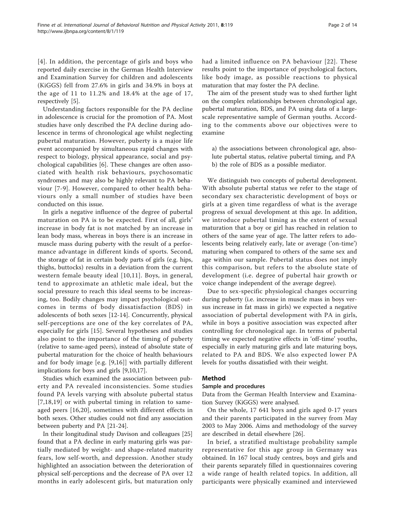[[4](#page-12-0)]. In addition, the percentage of girls and boys who reported daily exercise in the German Health Interview and Examination Survey for children and adolescents (KiGGS) fell from 27.6% in girls and 34.9% in boys at the age of 11 to 11.2% and 18.4% at the age of 17, respectively [\[5](#page-12-0)].

Understanding factors responsible for the PA decline in adolescence is crucial for the promotion of PA. Most studies have only described the PA decline during adolescence in terms of chronological age whilst neglecting pubertal maturation. However, puberty is a major life event accompanied by simultaneous rapid changes with respect to biology, physical appearance, social and psychological capabilities [[6\]](#page-12-0). These changes are often associated with health risk behaviours, psychosomatic syndromes and may also be highly relevant to PA behaviour [[7-9\]](#page-12-0). However, compared to other health behaviours only a small number of studies have been conducted on this issue.

In girls a negative influence of the degree of pubertal maturation on PA is to be expected. First of all, girls' increase in body fat is not matched by an increase in lean body mass, whereas in boys there is an increase in muscle mass during puberty with the result of a performance advantage in different kinds of sports. Second, the storage of fat in certain body parts of girls (e.g. hips, thighs, buttocks) results in a deviation from the current western female beauty ideal [[10](#page-12-0),[11\]](#page-12-0). Boys, in general, tend to approximate an athletic male ideal, but the social pressure to reach this ideal seems to be increasing, too. Bodily changes may impact psychological outcomes in terms of body dissatisfaction (BDS) in adolescents of both sexes [\[12-14](#page-12-0)]. Concurrently, physical self-perceptions are one of the key correlates of PA, especially for girls [\[15\]](#page-12-0). Several hypotheses and studies also point to the importance of the timing of puberty (relative to same-aged peers), instead of absolute state of pubertal maturation for the choice of health behaviours and for body image [e.g. [[9,16\]](#page-12-0)] with partially different implications for boys and girls [[9,10,17](#page-12-0)].

Studies which examined the association between puberty and PA revealed inconsistencies. Some studies found PA levels varying with absolute pubertal status [[7](#page-12-0),[18,19\]](#page-12-0) or with pubertal timing in relation to sameaged peers [[16,20\]](#page-12-0), sometimes with different effects in both sexes. Other studies could not find any association between puberty and PA [[21-24\]](#page-12-0).

In their longitudinal study Davison and colleagues [[25](#page-13-0)] found that a PA decline in early maturing girls was partially mediated by weight- and shape-related maturity fears, low self-worth, and depression. Another study highlighted an association between the deterioration of physical self-perceptions and the decrease of PA over 12 months in early adolescent girls, but maturation only had a limited influence on PA behaviour [[22](#page-12-0)]. These results point to the importance of psychological factors, like body image, as possible reactions to physical maturation that may foster the PA decline.

The aim of the present study was to shed further light on the complex relationships between chronological age, pubertal maturation, BDS, and PA using data of a largescale representative sample of German youths. According to the comments above our objectives were to examine

a) the associations between chronological age, absolute pubertal status, relative pubertal timing, and PA b) the role of BDS as a possible mediator.

We distinguish two concepts of pubertal development. With absolute pubertal status we refer to the stage of secondary sex characteristic development of boys or girls at a given time regardless of what is the average progress of sexual development at this age. In addition, we introduce pubertal timing as the extent of sexual maturation that a boy or girl has reached in relation to others of the same year of age. The latter refers to adolescents being relatively early, late or average ('on-time') maturing when compared to others of the same sex and age within our sample. Pubertal status does not imply this comparison, but refers to the absolute state of development (i.e. degree of pubertal hair growth or voice change independent of the average degree).

Due to sex-specific physiological changes occurring during puberty (i.e. increase in muscle mass in boys versus increase in fat mass in girls) we expected a negative association of pubertal development with PA in girls, while in boys a positive association was expected after controlling for chronological age. In terms of pubertal timing we expected negative effects in 'off-time' youths, especially in early maturing girls and late maturing boys, related to PA and BDS. We also expected lower PA levels for youths dissatisfied with their weight.

# Method

# Sample and procedures

Data from the German Health Interview and Examination Survey (KiGGS) were analysed.

On the whole, 17 641 boys and girls aged 0-17 years and their parents participated in the survey from May 2003 to May 2006. Aims and methodology of the survey are described in detail elsewhere [[26\]](#page-13-0).

In brief, a stratified multistage probability sample representative for this age group in Germany was obtained. In 167 local study centres, boys and girls and their parents separately filled in questionnaires covering a wide range of health related topics. In addition, all participants were physically examined and interviewed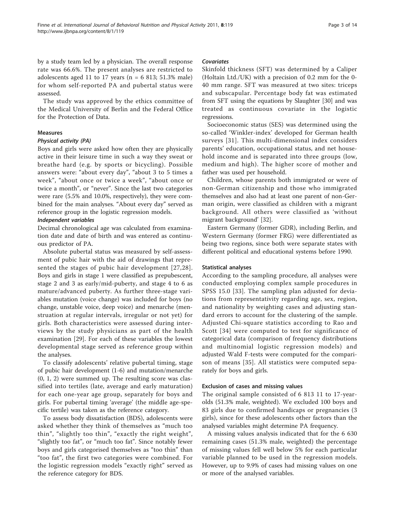by a study team led by a physician. The overall response rate was 66.6%. The present analyses are restricted to adolescents aged 11 to 17 years ( $n = 6813$ ; 51.3% male) for whom self-reported PA and pubertal status were assessed.

The study was approved by the ethics committee of the Medical University of Berlin and the Federal Office for the Protection of Data.

# Measures

# Physical activity (PA)

Boys and girls were asked how often they are physically active in their leisure time in such a way they sweat or breathe hard (e.g. by sports or bicycling). Possible answers were: "about every day", "about 3 to 5 times a week", "about once or twice a week", "about once or twice a month", or "never". Since the last two categories were rare (5.5% and 10.0%, respectively), they were combined for the main analyses. "About every day" served as reference group in the logistic regression models.

# Independent variables

Decimal chronological age was calculated from examination date and date of birth and was entered as continuous predictor of PA.

Absolute pubertal status was measured by self-assessment of pubic hair with the aid of drawings that represented the stages of pubic hair development [[27,28\]](#page-13-0). Boys and girls in stage 1 were classified as prepubescent, stage 2 and 3 as early/mid-puberty, and stage 4 to 6 as mature/advanced puberty. As further three-stage variables mutation (voice change) was included for boys (no change, unstable voice, deep voice) and menarche (menstruation at regular intervals, irregular or not yet) for girls. Both characteristics were assessed during interviews by the study physicians as part of the health examination [\[29](#page-13-0)]. For each of these variables the lowest developmental stage served as reference group within the analyses.

To classify adolescents' relative pubertal timing, stage of pubic hair development (1-6) and mutation/menarche (0, 1, 2) were summed up. The resulting score was classified into tertiles (late, average and early maturation) for each one-year age group, separately for boys and girls. For pubertal timing 'average' (the middle age-specific tertile) was taken as the reference category.

To assess body dissatisfaction (BDS), adolescents were asked whether they think of themselves as "much too thin", "slightly too thin", "exactly the right weight", "slightly too fat", or "much too fat". Since notably fewer boys and girls categorised themselves as "too thin" than "too fat", the first two categories were combined. For the logistic regression models "exactly right" served as the reference category for BDS.

# **Covariates**

Skinfold thickness (SFT) was determined by a Caliper (Holtain Ltd./UK) with a precision of 0.2 mm for the 0- 40 mm range. SFT was measured at two sites: triceps and subscapular. Percentage body fat was estimated from SFT using the equations by Slaughter [\[30\]](#page-13-0) and was treated as continuous covariate in the logistic regressions.

Socioeconomic status (SES) was determined using the so-called 'Winkler-index' developed for German health surveys [[31](#page-13-0)]. This multi-dimensional index considers parents' education, occupational status, and net household income and is separated into three groups (low, medium and high). The higher score of mother and father was used per household.

Children, whose parents both immigrated or were of non-German citizenship and those who immigrated themselves and also had at least one parent of non-German origin, were classified as children with a migrant background. All others were classified as 'without migrant background' [\[32](#page-13-0)].

Eastern Germany (former GDR), including Berlin, and Western Germany (former FRG) were differentiated as being two regions, since both were separate states with different political and educational systems before 1990.

# Statistical analyses

According to the sampling procedure, all analyses were conducted employing complex sample procedures in SPSS 15.0 [[33](#page-13-0)]. The sampling plan adjusted for deviations from representativity regarding age, sex, region, and nationality by weighting cases and adjusting standard errors to account for the clustering of the sample. Adjusted Chi-square statistics according to Rao and Scott [[34](#page-13-0)] were computed to test for significance of categorical data (comparison of frequency distributions and multinomial logistic regression models) and adjusted Wald F-tests were computed for the comparison of means [[35\]](#page-13-0). All statistics were computed separately for boys and girls.

# Exclusion of cases and missing values

The original sample consisted of 6 813 11 to 17-yearolds (51.3% male, weighted). We excluded 100 boys and 83 girls due to confirmed handicaps or pregnancies (3 girls), since for these adolescents other factors than the analysed variables might determine PA frequency.

A missing values analysis indicated that for the 6 630 remaining cases (51.3% male, weighted) the percentage of missing values fell well below 5% for each particular variable planned to be used in the regression models. However, up to 9.9% of cases had missing values on one or more of the analysed variables.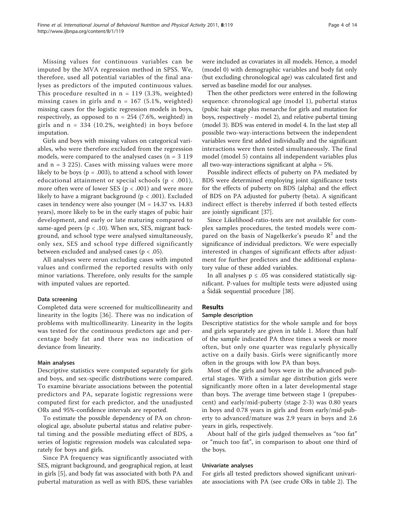Missing values for continuous variables can be imputed by the MVA regression method in SPSS. We, therefore, used all potential variables of the final analyses as predictors of the imputed continuous values. This procedure resulted in  $n = 119$  (3.3%, weighted) missing cases in girls and  $n = 167$  (5.1%, weighted) missing cases for the logistic regression models in boys, respectively, as opposed to  $n = 254$  (7.6%, weighted) in girls and  $n = 334$  (10.2%, weighted) in boys before imputation.

Girls and boys with missing values on categorical variables, who were therefore excluded from the regression models, were compared to the analysed cases ( $n = 3$  119 and  $n = 3$  225). Cases with missing values were more likely to be boys ( $p = .003$ ), to attend a school with lower educational attainment or special schools ( $p < .001$ ), more often were of lower SES ( $p < .001$ ) and were more likely to have a migrant background ( $p < .001$ ). Excluded cases in tendency were also younger ( $M = 14.37$  vs. 14.83 years), more likely to be in the early stages of pubic hair development, and early or late maturing compared to same-aged peers ( $p < .10$ ). When sex, SES, migrant background, and school type were analysed simultaneously, only sex, SES and school type differed significantly between excluded and analysed cases (p < .05).

All analyses were rerun excluding cases with imputed values and confirmed the reported results with only minor variations. Therefore, only results for the sample with imputed values are reported.

#### Data screening

Completed data were screened for multicollinearity and linearity in the logits [[36](#page-13-0)]. There was no indication of problems with multicollinearity. Linearity in the logits was tested for the continuous predictors age and percentage body fat and there was no indication of deviance from linearity.

# Main analyses

Descriptive statistics were computed separately for girls and boys, and sex-specific distributions were compared. To examine bivariate associations between the potential predictors and PA, separate logistic regressions were computed first for each predictor, and the unadjusted ORs and 95%-confidence intervals are reported.

To estimate the possible dependency of PA on chronological age, absolute pubertal status and relative pubertal timing and the possible mediating effect of BDS, a series of logistic regression models was calculated separately for boys and girls.

Since PA frequency was significantly associated with SES, migrant background, and geographical region, at least in girls [[5](#page-12-0)], and body fat was associated with both PA and pubertal maturation as well as with BDS, these variables were included as covariates in all models. Hence, a model (model 0) with demographic variables and body fat only (but excluding chronological age) was calculated first and served as baseline model for our analyses.

Then the other predictors were entered in the following sequence: chronological age (model 1), pubertal status (pubic hair stage plus menarche for girls and mutation for boys, respectively - model 2), and relative pubertal timing (model 3). BDS was entered in model 4. In the last step all possible two-way-interactions between the independent variables were first added individually and the significant interactions were then tested simultaneously. The final model (model 5) contains all independent variables plus all two-way-interactions significant at alpha = 5%.

Possible indirect effects of puberty on PA mediated by BDS were determined employing joint significance tests for the effects of puberty on BDS (alpha) and the effect of BDS on PA adjusted for puberty (beta). A significant indirect effect is thereby inferred if both tested effects are jointly significant [\[37\]](#page-13-0).

Since Likelihood-ratio-tests are not available for complex samples procedures, the tested models were compared on the basis of Nagelkerke's pseudo  $R^2$  and the significance of individual predictors. We were especially interested in changes of significant effects after adjustment for further predictors and the additional explanatory value of these added variables.

In all analyses  $p \leq .05$  was considered statistically significant. P-values for multiple tests were adjusted using a Šidák sequential procedure [\[38](#page-13-0)].

#### Results

#### Sample description

Descriptive statistics for the whole sample and for boys and girls separately are given in table [1.](#page-4-0) More than half of the sample indicated PA three times a week or more often, but only one quarter was regularly physically active on a daily basis. Girls were significantly more often in the groups with low PA than boys.

Most of the girls and boys were in the advanced pubertal stages. With a similar age distribution girls were significantly more often in a later developmental stage than boys. The average time between stage 1 (prepubescent) and early/mid-puberty (stage 2-3) was 0.80 years in boys and 0.78 years in girls and from early/mid-puberty to advanced/mature was 2.9 years in boys and 2.6 years in girls, respectively.

About half of the girls judged themselves as "too fat" or "much too fat", in comparison to about one third of the boys.

#### Univariate analyses

For girls all tested predictors showed significant univariate associations with PA (see crude ORs in table [2\)](#page-5-0). The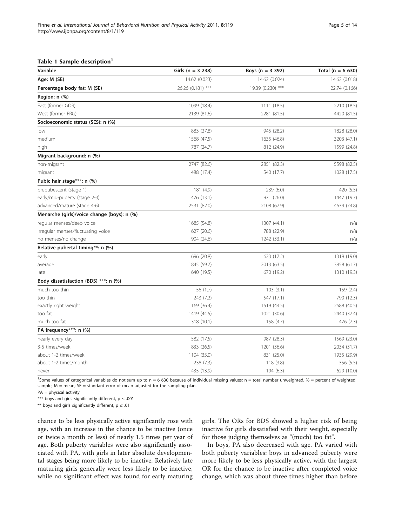# <span id="page-4-0"></span>Table 1 Sample description<sup>1</sup>

| Variable                                    | Girls ( $n = 3, 238$ ) | Boys ( $n = 3,392$ ) | Total ( $n = 6630$ ) |
|---------------------------------------------|------------------------|----------------------|----------------------|
| Age: M (SE)                                 | 14.62 (0.023)          | 14.62 (0.024)        | 14.62 (0.018)        |
| Percentage body fat: M (SE)                 | 26.26 (0.181) ***      | 19.39 (0.230) ***    | 22.74 (0.166)        |
| Region: n (%)                               |                        |                      |                      |
| East (former GDR)                           | 1099 (18.4)            | 1111 (18.5)          | 2210 (18.5)          |
| West (former FRG)                           | 2139 (81.6)            | 2281 (81.5)          | 4420 (81.5)          |
| Socioeconomic status (SES): n (%)           |                        |                      |                      |
| low                                         | 883 (27.8)             | 945 (28.2)           | 1828 (28.0)          |
| medium                                      | 1568 (47.5)            | 1635 (46.8)          | 3203 (47.1)          |
| high                                        | 787 (24.7)             | 812 (24.9)           | 1599 (24.8)          |
| Migrant background: n (%)                   |                        |                      |                      |
| non-migrant                                 | 2747 (82.6)            | 2851 (82.3)          | 5598 (82.5)          |
| migrant                                     | 488 (17.4)             | 540 (17.7)           | 1028 (17.5)          |
| Pubic hair stage***: n (%)                  |                        |                      |                      |
| prepubescent (stage 1)                      | 181 (4.9)              | 239 (6.0)            | 420 (5.5)            |
| early/mid-puberty (stage 2-3)               | 476 (13.1)             | 971 (26.0)           | 1447 (19.7)          |
| advanced/mature (stage 4-6)                 | 2531 (82.0)            | 2108 (67.9)          | 4639 (74.8)          |
| Menarche (girls)/voice change (boys): n (%) |                        |                      |                      |
| regular menses/deep voice                   | 1685 (54.8)            | 1307 (44.1)          | n/a                  |
| irregular menses/fluctuating voice          | 627 (20.6)             | 788 (22.9)           | n/a                  |
| no menses/no change                         | 904 (24.6)             | 1242 (33.1)          | n/a                  |
| Relative pubertal timing**: n (%)           |                        |                      |                      |
| early                                       | 696 (20.8)             | 623 (17.2)           | 1319 (19.0)          |
| average                                     | 1845 (59.7)            | 2013 (63.5)          | 3858 (61.7)          |
| late                                        | 640 (19.5)             | 670 (19.2)           | 1310 (19.3)          |
| Body dissatisfaction (BDS) ***: n (%)       |                        |                      |                      |
| much too thin                               | 56 (1.7)               | 103(3.1)             | 159(2.4)             |
| too thin                                    | 243 (7.2)              | 547 (17.1)           | 790 (12.3)           |
| exactly right weight                        | 1169 (36.4)            | 1519 (44.5)          | 2688 (40.5)          |
| too fat                                     | 1419 (44.5)            | 1021 (30.6)          | 2440 (37.4)          |
| much too fat                                | 318 (10.1)             | 158 (4.7)            | 476 (7.3)            |
| PA frequency***: n (%)                      |                        |                      |                      |
| nearly every day                            | 582 (17.5)             | 987 (28.3)           | 1569 (23.0)          |
| 3-5 times/week                              | 833 (26.5)             | 1201 (36.6)          | 2034 (31.7)          |
| about 1-2 times/week                        | 1104 (35.0)            | 831 (25.0)           | 1935 (29.9)          |
| about 1-2 times/month                       | 238 (7.3)              | 118(3.8)             | 356 (5.5)            |
| never                                       | 435 (13.9)             | 194 (6.3)            | 629 (10.0)           |

<sup>1</sup>Some values of categorical variables do not sum up to n = 6 630 because of individual missing values; n = total number unweighted, % = percent of weighted sample;  $M =$  mean;  $SE =$  standard error of mean adjusted for the sampling plan.

PA = physical activity

\*\*\* boys and girls significantly different,  $p \le 0.001$ 

\*\* boys and girls significantly different,  $p \le .01$ 

chance to be less physically active significantly rose with age, with an increase in the chance to be inactive (once or twice a month or less) of nearly 1.5 times per year of age. Both puberty variables were also significantly associated with PA, with girls in later absolute developmental stages being more likely to be inactive. Relatively late maturing girls generally were less likely to be inactive, while no significant effect was found for early maturing girls. The ORs for BDS showed a higher risk of being inactive for girls dissatisfied with their weight, especially for those judging themselves as "(much) too fat".

In boys, PA also decreased with age. PA varied with both puberty variables: boys in advanced puberty were more likely to be less physically active, with the largest OR for the chance to be inactive after completed voice change, which was about three times higher than before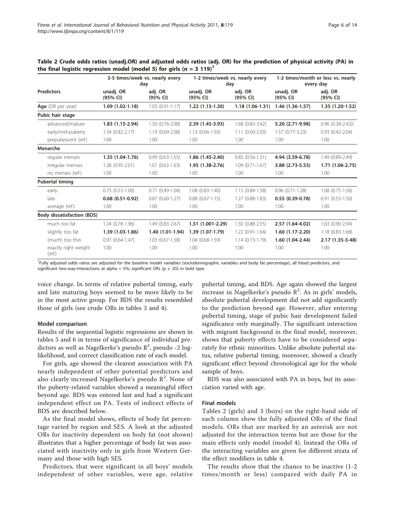|                                   |                                       | 3-5 times/week vs. nearly every<br>day | day                                    | 1-2 times/week vs. nearly every | 1-2 times/month or less vs. nearly<br>every day |                     |  |
|-----------------------------------|---------------------------------------|----------------------------------------|----------------------------------------|---------------------------------|-------------------------------------------------|---------------------|--|
| <b>Predictors</b>                 | unadj. OR<br>(95% CI)                 | adj. OR<br>(95% CI)                    | unadj. OR<br>(95% CI)                  | adj. OR<br>(95% CI)             | unadj. OR<br>(95% CI)                           | adj. OR<br>(95% CI) |  |
| Age (OR per year)                 | $1.09(1.02-1.18)$                     | $1.03(0.91 - 1.17)$                    | $1.22(1.15-1.30)$                      | $1.18(1.06-1.31)$               | $1.46(1.36-1.57)$                               | 1.35 (1.20-1.52)    |  |
| Pubic hair stage                  |                                       |                                        |                                        |                                 |                                                 |                     |  |
| advanced/mature                   | 1.83 (1.15-2.94)                      | 1.50 (0.76-2.98)                       | 2.39 (1.45-3.93)                       | $1.68(0.83 - 3.42)$             | 5.20 (2.71-9.98)                                | $0.96(0.38-2.42)$   |  |
| early/mid-puberty                 | $1.34(0.82 - 2.17)$                   | 1.19 (0.69-2.08)                       | $1.13(0.66 - 1.93)$                    | $1.11(0.60 - 2.03)$             | $1.57(0.77 - 3.23)$                             | $0.93(0.42 - 2.04)$ |  |
| prepubescent (ref.)               | 1.00<br>1.00                          |                                        | 1.00                                   | 1.00                            | 1.00                                            | 1.00                |  |
| Menarche                          |                                       |                                        |                                        |                                 |                                                 |                     |  |
| regular menses                    | $1.35(1.04-1.76)$                     | $0.99(0.63 - 1.55)$                    | 1.86 (1.45-2.40)                       | $0.85(0.56-1.31)$               | 4.94 (3.59-6.78)                                | 1.49 (0.89-2.49)    |  |
| irregular menses                  | 1.38 (0.95-2.01)                      | $1.01(0.63-1.63)$                      | 1.95 (1.38-2.76)                       | $1.09(0.71 - 1.67)$             | 3.88 (2.73-5.53)                                | 1.71 (1.06-2.75)    |  |
| no menses (ref.)                  | 1.00                                  | 1.00                                   | 1.00                                   | 1.00                            | 1.00                                            | 1.00                |  |
| <b>Pubertal timing</b>            |                                       |                                        |                                        |                                 |                                                 |                     |  |
| early                             | $0.73(0.53-1.00)$                     | $0.71(0.49-1.04)$                      | $1.08(0.83 - 1.40)$                    | $1.15(0.84-1.58)$               | $0.96(0.71 - 1.28)$                             | $1.08(0.75-1.56)$   |  |
| late                              | $0.68$ $(0.51-0.92)$                  | $0.87(0.60-1.27)$                      | $0.88$ $(0.67 - 1.15)$                 | $1.27(0.88-1.83)$               | $0.55(0.39-0.78)$                               | $0.91(0.55-1.50)$   |  |
| average (ref.)                    | 1.00                                  | 1.00                                   | 1.00<br>1.00                           |                                 | 1.00                                            | 1.00                |  |
| <b>Body dissatisfaction (BDS)</b> |                                       |                                        |                                        |                                 |                                                 |                     |  |
| much too fat                      | 1.24 (0.78-1.96)                      | $1.49(0.83 - 2.67)$                    | 1.51 (1.001-2.29)                      | 1.50 (0.88-2.55)                | 2.57 (1.64-4.02)                                | 1.63 (0.90-2.94)    |  |
| slightly too fat                  | $1.40(1.01-1.94)$<br>1.39 (1.03-1.86) |                                        | 1.39 (1.07-1.79)                       | $1.22(0.91-1.64)$               | $1.60(1.17-2.20)$                               | $1.18(0.83 - 1.68)$ |  |
| (much) too thin                   | $0.97(0.64 - 1.47)$                   | $1.03(0.67-1.58)$                      | $1.04(0.68-1.59)$<br>$1.14(0.73-1.79)$ |                                 | $1.60(1.04-2.44)$                               | 2.17 (1.35-3-48)    |  |
| exactly right weight<br>(ref.)    | 1.00                                  | 1.00                                   | 1.00                                   | 1.00                            | 1.00                                            | 1.00                |  |

<span id="page-5-0"></span>Table 2 Crude odds ratios (unadj.OR) and adjusted odds ratios (adj. OR) for the prediction of physical activity (PA) in the final logistic regression model (model 5) for girls (n = 3 119)<sup>1</sup>

<sup>1</sup>Fully adjusted odds ratios are adjusted for the baseline model variables (sociodemographic variables and body fat percentage), all listed predictors, and significant two-way-interactions at alpha = 5%; significant ORs ( $p \le .05$ ) in bold type.

voice change. In terms of relative pubertal timing, early and late maturing boys seemed to be more likely to be in the most active group. For BDS the results resembled those of girls (see crude ORs in tables [3](#page-6-0) and [4\)](#page-7-0).

# Model comparison

Results of the sequential logistic regressions are shown in tables [5](#page-8-0) and [6](#page-9-0) in terms of significance of individual predictors as well as Nagelkerke's pseudo  $R^2$ , pseudo -2 loglikelihood, and correct classification rate of each model.

For girls, age showed the clearest association with PA nearly independent of other potential predictors and also clearly increased Nagelkerke's pseudo  $\mathbb{R}^2$ . None of the puberty-related variables showed a meaningful effect beyond age. BDS was entered last and had a significant independent effect on PA. Tests of indirect effects of BDS are described below.

As the final model shows, effects of body fat percentage varied by region and SES. A look at the adjusted ORs for inactivity dependent on body fat (not shown) illustrates that a higher percentage of body fat was associated with inactivity only in girls from Western Germany and those with high SES.

Predictors, that were significant in all boys' models independent of other variables, were age, relative

pubertal timing, and BDS. Age again showed the largest increase in Nagelkerke's pseudo  $R^2$ . As in girls' models, absolute pubertal development did not add significantly to the prediction beyond age. However, after entering pubertal timing, stage of pubic hair development failed significance only marginally. The significant interaction with migrant background in the final model, moreover, shows that puberty effects have to be considered separately for ethnic minorities. Unlike absolute pubertal status, relative pubertal timing, moreover, showed a clearly significant effect beyond chronological age for the whole sample of boys.

BDS was also associated with PA in boys, but its association varied with age.

# Final models

Tables 2 (girls) and [3](#page-6-0) (boys) on the right-hand side of each column show the fully adjusted ORs of the final models. ORs that are marked by an asterisk are not adjusted for the interaction terms but are those for the main effects only model (model 4). Instead the ORs of the interacting variables are given for different strata of the effect modifiers in table [4](#page-7-0).

The results show that the chance to be inactive (1-2 times/month or less) compared with daily PA in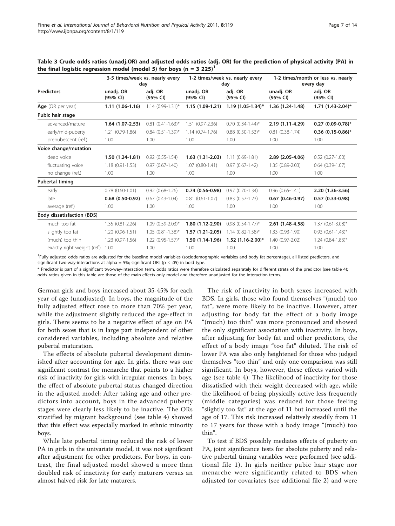|                                   |                       | 3-5 times/week vs. nearly every<br>day |                                         | 1-2 times/week vs. nearly every<br>day | 1-2 times/month or less vs. nearly<br>every day |                          |  |
|-----------------------------------|-----------------------|----------------------------------------|-----------------------------------------|----------------------------------------|-------------------------------------------------|--------------------------|--|
| <b>Predictors</b>                 | unadj. OR<br>(95% CI) | adj. OR<br>(95% CI)                    | unadj. OR<br>(95% CI)                   | adj. OR<br>(95% CI)                    | unadj. OR<br>(95% CI)                           | adj. OR<br>(95% CI)      |  |
| Age (OR per year)                 | $1.11(1.06-1.16)$     | $1.14$ (0.99-1.31)*                    | $1.15(1.09-1.21)$                       | $1.19(1.05-1.34)$ *                    | $1.36(1.24-1.48)$                               | $1.71$ $(1.43-2.04)$ *   |  |
| Pubic hair stage                  |                       |                                        |                                         |                                        |                                                 |                          |  |
| advanced/mature                   | $1.64(1.07-2.53)$     | $0.81$ $(0.41 - 1.63)^*$               | 1.51 (0.97-2.36)                        | $0.70$ $(0.34-1.44)$ *                 | 2.19 (1.11-4.29)                                | $0.27$ (0.09-0.78)*      |  |
| early/mid-puberty                 | $1.21(0.79-1.86)$     | $0.84$ $(0.51 - 1.39)^*$               | $1.14(0.74-1.76)$                       | $0.88$ $(0.50-1.53)$ *                 | $0.81(0.38-1.74)$                               | $0.36$ (0.15-0.86)*      |  |
| prepubescent (ref.)<br>1.00       |                       | 1.00                                   | 1.00                                    | 1.00                                   | 1.00                                            | 1.00                     |  |
| Voice change/mutation             |                       |                                        |                                         |                                        |                                                 |                          |  |
| deep voice                        | $1.50(1.24-1.81)$     | $0.92(0.55-1.54)$                      | $1.63(1.31-2.03)$                       | $1.11(0.69-1.81)$                      | 2.89 (2.05-4.06)                                | $0.52(0.27-1.00)$        |  |
| fluctuating voice                 | $1.18(0.91 - 1.53)$   | $0.97$ $(0.67 - 1.40)$                 | $1.07(0.80-1.41)$                       | $0.97(0.67 - 1.42)$                    | 1.35 (0.89-2.03)                                | $0.64$ $(0.39-1.07)$     |  |
| no change (ref.)                  | 1.00                  | 1.00                                   | 1.00                                    | 1.00                                   | 1.00                                            | 1.00                     |  |
| <b>Pubertal timing</b>            |                       |                                        |                                         |                                        |                                                 |                          |  |
| early                             | $0.78$ $(0.60-1.01)$  | $0.92$ $(0.68-1.26)$                   | $0.74(0.56-0.98)$                       | $0.97(0.70-1.34)$                      | $0.96(0.65-1.41)$                               | 2.20 (1.36-3.56)         |  |
| late                              | $0.68$ $(0.50-0.92)$  | $0.67$ $(0.43 - 1.04)$                 | $0.81(0.61 - 1.07)$                     | $0.83$ $(0.57 - 1.23)$                 | $0.67$ $(0.46 - 0.97)$                          | $0.57(0.33-0.98)$        |  |
| average (ref.)                    | 1.00                  | 1.00                                   | 1.00                                    | 1.00                                   | 1.00                                            | 1.00                     |  |
| <b>Body dissatisfaction (BDS)</b> |                       |                                        |                                         |                                        |                                                 |                          |  |
| much too fat                      | $1.35(0.81 - 2.26)$   | 1.09 (0.59-2.03)*                      | 1.80 (1.12-2.90)                        | $0.98$ $(0.54 - 1.77)^*$               | 2.61 (1.48-4.58)                                | $1.37(0.61 - 3.08)$ *    |  |
| slightly too fat                  | $1.20(0.96-1.51)$     | $1.05$ $(0.81 - 1.38)^*$               | $1.57(1.21-2.05)$                       | $1.14$ (0.82-1.58)*                    | 1.33 (0.93-1.90)                                | $0.93$ $(0.61 - 1.43)^*$ |  |
| (much) too thin                   | $1.23(0.97-1.56)$     | $1.22$ (0.95-1.57)*                    | 1.50 (1.14-1.96)<br>$1.52$ (1.16-2.00)* |                                        | 1.40 (0.97-2.02)                                | $1.24$ (0.84-1.83)*      |  |
| exactly right weight (ref.)       | 1.00                  | 1.00                                   | 1.00                                    | 1.00                                   | 1.00                                            | 1.00                     |  |

<span id="page-6-0"></span>Table 3 Crude odds ratios (unadj.OR) and adjusted odds ratios (adj. OR) for the prediction of physical activity (PA) in the final logistic regression model (model 5) for boys (n = 3 225)<sup>1</sup>

<sup>1</sup>Fully adjusted odds ratios are adjusted for the baseline model variables (sociodemographic variables and body fat percentage), all listed predictors, and significant two-way-interactions at alpha = 5%; significant ORs ( $p \le .05$ ) in bold type.

\* Predictor is part of a significant two-way-interaction term, odds ratios were therefore calculated separately for different strata of the predictor (see table 4); odds ratios given in this table are those of the main-effects-only model and therefore unadjusted for the interaction-terms.

German girls and boys increased about 35-45% for each year of age (unadjusted). In boys, the magnitude of the fully adjusted effect rose to more than 70% per year, while the adjustment slightly reduced the age-effect in girls. There seems to be a negative effect of age on PA for both sexes that is in large part independent of other considered variables, including absolute and relative pubertal maturation.

The effects of absolute pubertal development diminished after accounting for age. In girls, there was one significant contrast for menarche that points to a higher risk of inactivity for girls with irregular menses. In boys, the effect of absolute pubertal status changed direction in the adjusted model: After taking age and other predictors into account, boys in the advanced puberty stages were clearly less likely to be inactive. The ORs stratified by migrant background (see table [4\)](#page-7-0) showed that this effect was especially marked in ethnic minority boys.

While late pubertal timing reduced the risk of lower PA in girls in the univariate model, it was not significant after adjustment for other predictors. For boys, in contrast, the final adjusted model showed a more than doubled risk of inactivity for early maturers versus an almost halved risk for late maturers.

The risk of inactivity in both sexes increased with BDS. In girls, those who found themselves "(much) too fat", were more likely to be inactive. However, after adjusting for body fat the effect of a body image "(much) too thin" was more pronounced and showed the only significant association with inactivity. In boys, after adjusting for body fat and other predictors, the effect of a body image "too fat" diluted. The risk of lower PA was also only heightened for those who judged themselves "too thin" and only one comparison was still significant. In boys, however, these effects varied with age (see table [4](#page-7-0)): The likelihood of inactivity for those dissatisfied with their weight decreased with age, while the likelihood of being physically active less frequently (middle categories) was reduced for those feeling "slightly too fat" at the age of 11 but increased until the age of 17. This risk increased relatively steadily from 11 to 17 years for those with a body image "(much) too thin".

To test if BDS possibly mediates effects of puberty on PA, joint significance tests for absolute puberty and relative pubertal timing variables were performed (see additional file [1](#page-12-0)). In girls neither pubic hair stage nor menarche were significantly related to BDS when adjusted for covariates (see additional file [2\)](#page-12-0) and were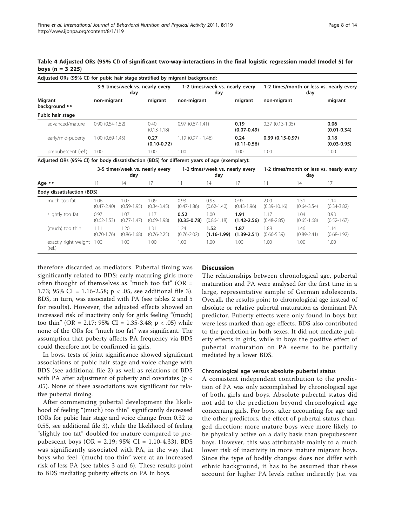<span id="page-7-0"></span>Table 4 Adjusted ORs (95% CI) of significant two-way-interactions in the final logistic regression model (model 5) for boys (n = 3 225)

| Adjusted ORs (95% CI) for pubic hair stage stratified by migrant background:                 |                                        |                         |                         |                                        |                                        |                         |                                                 |                         |                         |
|----------------------------------------------------------------------------------------------|----------------------------------------|-------------------------|-------------------------|----------------------------------------|----------------------------------------|-------------------------|-------------------------------------------------|-------------------------|-------------------------|
|                                                                                              | 3-5 times/week vs. nearly every<br>day |                         |                         |                                        | 1-2 times/week vs. nearly every<br>day |                         | 1-2 times/month or less vs. nearly every<br>day |                         |                         |
| <b>Migrant</b><br>background ►►                                                              | non-migrant                            |                         | migrant                 | non-migrant                            | migrant                                |                         | non-migrant                                     |                         | migrant                 |
| Pubic hair stage                                                                             |                                        |                         |                         |                                        |                                        |                         |                                                 |                         |                         |
| advanced/mature                                                                              | $0.90(0.54-1.52)$                      |                         | 0.40<br>$(0.13 - 1.18)$ | $0.97(0.67 - 1.41)$                    |                                        | 0.19<br>$(0.07 - 0.49)$ | $0.37(0.13 - 1.05)$                             |                         | 0.06<br>$(0.01 - 0.34)$ |
| early/mid-puberty                                                                            | $1.00(0.69-1.45)$                      |                         | 0.27<br>$(0.10 - 0.72)$ | $1.19(0.97 - 1.46)$                    |                                        | 0.24<br>$(0.11 - 0.56)$ | $0.39(0.15-0.97)$                               |                         | 0.18<br>$(0.03 - 0.95)$ |
| prepubescent (ref.)                                                                          | 1.00                                   | 1.00                    |                         | 1.00                                   |                                        | 1.00                    | 1.00                                            |                         | 1.00                    |
| Adjusted ORs (95% CI) for body dissatisfaction (BDS) for different years of age (exemplary): |                                        |                         |                         |                                        |                                        |                         |                                                 |                         |                         |
|                                                                                              | 3-5 times/week vs. nearly every<br>day |                         |                         | 1-2 times/week vs. nearly every<br>day |                                        |                         | 1-2 times/month or less vs. nearly every<br>day |                         |                         |
| Age $\rightarrow$                                                                            | 11                                     | 14                      | 17                      | 11                                     | 14                                     | 17                      | 11                                              | 14                      | 17                      |
| <b>Body dissatisfaction (BDS)</b>                                                            |                                        |                         |                         |                                        |                                        |                         |                                                 |                         |                         |
| much too fat                                                                                 | 1.06<br>$(0.47 - 2.40)$                | 1.07<br>$(0.59 - 1.95)$ | 1.09<br>$(0.34 - 3.45)$ | 0.93<br>$(0.47 - 1.86)$                | 0.93<br>$(0.62 - 1.40)$                | 0.92<br>$(0.43 - 1.96)$ | 2.00<br>$(0.39 - 10.16)$                        | 1.51<br>$(0.64 - 3.54)$ | 1.14<br>$(0.34 - 3.82)$ |
| slightly too fat                                                                             | 0.97<br>$(0.62 - 1.53)$                | 1.07<br>$(0.77 - 1.47)$ | 117<br>$(0.69 - 1.98)$  | 0.52<br>$(0.35 - 0.78)$                | 100<br>$(0.86 - 1.18)$                 | 1.91<br>$(1.42 - 2.56)$ | 117<br>$(0.48 - 2.85)$                          | 1.04<br>$(0.65 - 1.68)$ | 0.93<br>$(0.52 - 1.67)$ |
| (much) too thin                                                                              | 1.11<br>$(0.70 - 1.76)$                | 1.20<br>$(0.86 - 1.68)$ | 131<br>$(0.76 - 2.25)$  | 1.24<br>$(0.76 - 2.02)$                | 1.52<br>$(1.16 - 1.99)$                | 1.87<br>$(1.39 - 2.51)$ | 1.88<br>$(0.66 - 5.39)$                         | 1.46<br>$(0.89 - 2.41)$ | 1.14<br>$(0.68 - 1.92)$ |
| exactly right weight 1.00<br>(ref.)                                                          |                                        | 1.00                    | 1.00                    | 1.00                                   | 1.00                                   | 1.00                    | 1.00                                            | 1.00                    | 1.00                    |

therefore discarded as mediators. Pubertal timing was significantly related to BDS: early maturing girls more often thought of themselves as "much too fat" (OR = 1.73; 95% CI = 1.16-2.58; p < .05, see additional file [3](#page-12-0)). BDS, in turn, was associated with PA (see tables [2](#page-5-0) and [5](#page-8-0) for results). However, the adjusted effects showed an increased risk of inactivity only for girls feeling "(much) too thin" (OR = 2.17;  $95\%$  CI = 1.35-3.48; p < .05) while none of the ORs for "much too fat" was significant. The assumption that puberty affects PA frequency via BDS could therefore not be confirmed in girls.

In boys, tests of joint significance showed significant associations of pubic hair stage and voice change with BDS (see additional file [2](#page-12-0)) as well as relations of BDS with PA after adjustment of puberty and covariates (p < .05). None of these associations was significant for relative pubertal timing.

After commencing pubertal development the likelihood of feeling "(much) too thin" significantly decreased (ORs for pubic hair stage and voice change from 0.32 to 0.55, see additional file [3](#page-12-0)), while the likelihood of feeling "slightly too fat" doubled for mature compared to prepubescent boys (OR = 2.19; 95% CI = 1.10-4.33). BDS was significantly associated with PA, in the way that boys who feel "(much) too thin" were at an increased risk of less PA (see tables [3](#page-6-0) and [6\)](#page-9-0). These results point to BDS mediating puberty effects on PA in boys.

# **Discussion**

The relationships between chronological age, pubertal maturation and PA were analysed for the first time in a large, representative sample of German adolescents. Overall, the results point to chronological age instead of absolute or relative pubertal maturation as dominant PA predictor. Puberty effects were only found in boys but were less marked than age effects. BDS also contributed to the prediction in both sexes. It did not mediate puberty effects in girls, while in boys the positive effect of pubertal maturation on PA seems to be partially mediated by a lower BDS.

# Chronological age versus absolute pubertal status

A consistent independent contribution to the prediction of PA was only accomplished by chronological age of both, girls and boys. Absolute pubertal status did not add to the prediction beyond chronological age concerning girls. For boys, after accounting for age and the other predictors, the effect of pubertal status changed direction: more mature boys were more likely to be physically active on a daily basis than prepubescent boys. However, this was attributable mainly to a much lower risk of inactivity in more mature migrant boys. Since the type of bodily changes does not differ with ethnic background, it has to be assumed that these account for higher PA levels rather indirectly (i.e. via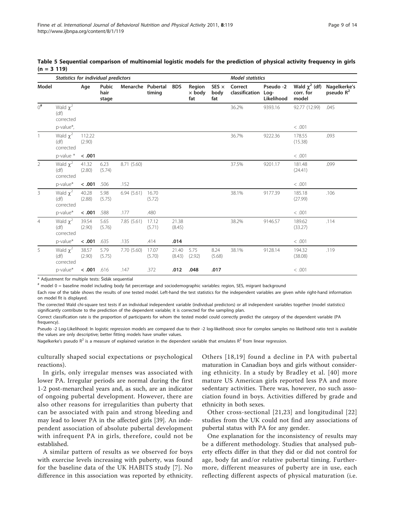|                | Statistics for individual predictors |                  |                        |                   |                 |                 |                                |                             |                                | <b>Model statistics</b> |                                          |                              |  |
|----------------|--------------------------------------|------------------|------------------------|-------------------|-----------------|-----------------|--------------------------------|-----------------------------|--------------------------------|-------------------------|------------------------------------------|------------------------------|--|
| Model          |                                      | Age              | Pubic<br>hair<br>stage | Menarche Pubertal | timing          | <b>BDS</b>      | Region<br>$\times$ body<br>fat | SES $\times$<br>body<br>fat | Correct<br>classification Log- | Pseudo -2<br>Likelihood | Wald $\chi^2$ (df)<br>corr. for<br>model | Nagelkerke's<br>pseudo $R^2$ |  |
| O <sup>#</sup> | Wald $\chi^2$<br>(df)<br>corrected   |                  |                        |                   |                 |                 |                                |                             | 36.2%                          | 9393.16                 | 92.77 (12.99)                            | .045                         |  |
|                | p-value*,                            |                  |                        |                   |                 |                 |                                |                             |                                |                         | < .001                                   |                              |  |
|                | Wald $\chi^2$<br>(df)<br>corrected   | 112.22<br>(2.90) |                        |                   |                 |                 |                                |                             | 36.7%                          | 9222.36                 | 178.55<br>(15.38)                        | .093                         |  |
|                | p-value *                            | < .001           |                        |                   |                 |                 |                                |                             |                                |                         | < .001                                   |                              |  |
| 2              | Wald $\chi^2$<br>(df)<br>corrected   | 41.32<br>(2.80)  | 6.23<br>(5.74)         | 8.71 (5.60)       |                 |                 |                                |                             | 37.5%                          | 9201.17                 | 181.48<br>(24.41)                        | .099                         |  |
|                | p-value*                             | < .001           | .506                   | .152              |                 |                 |                                |                             |                                |                         | < .001                                   |                              |  |
| 3              | Wald $\chi^2$<br>(df)<br>corrected   | 40.28<br>(2.88)  | 5.98<br>(5.75)         | 6.94(5.61)        | 16.70<br>(5.72) |                 |                                |                             | 38.1%                          | 9177.39                 | 185.18<br>(27.99)                        | .106                         |  |
|                | p-value*                             | < .001           | .588                   | .177              | .480            |                 |                                |                             |                                |                         | < .001                                   |                              |  |
| $\overline{4}$ | Wald $\chi^2$<br>(df)<br>corrected   | 39.54<br>(2.90)  | 5.65<br>(5.76)         | 7.85(5.61)        | 17.12<br>(5.71) | 21.38<br>(8.45) |                                |                             | 38.2%                          | 9146.57                 | 189.62<br>(33.27)                        | .114                         |  |
|                | p-value*                             | < .001           | .635                   | .135              | .414            | .014            |                                |                             |                                |                         | < .001                                   |                              |  |
| 5              | Wald $\chi^2$<br>(df)<br>corrected   | 38.57<br>(2.90)  | 5.79<br>(5.75)         | 7.70(5.60)        | 17.07<br>(5.70) | 21.40<br>(8.43) | 5.75<br>(2.92)                 | 8.24<br>(5.68)              | 38.1%                          | 9128.14                 | 194.32<br>(38.08)                        | .119                         |  |
|                | p-value*                             | $< .001$ .616    |                        | .147              | .372            | .012            | .048                           | .017                        |                                |                         | < .001                                   |                              |  |

<span id="page-8-0"></span>Table 5 Sequential comparison of multinomial logistic models for the prediction of physical activity frequency in girls  $(n = 3 119)$ 

\* Adjustment for multiple tests: Šidák sequential

 $*$  model 0 = baseline model including body fat percentage and sociodemographic variables: region, SES, migrant background

Each row of the table shows the results of one tested model. Left-hand the test statistics for the independent variables are given while right-hand information on model fit is displayed.

The corrected Wald chi-square test tests if an individual independent variable (individual predictors) or all independent variables together (model statistics) significantly contribute to the prediction of the dependent variable; it is corrected for the sampling plan.

Correct classification rate is the proportion of participants for whom the tested model could correctly predict the category of the dependent variable (PA frequency).

Pseudo -2 Log-Likelihood: In logistic regression models are compared due to their -2 log-likelihood; since for complex samples no likelihood ratio test is available the values are only descriptive; better fitting models have smaller values.

Nagelkerke's pseudo  $R^2$  is a measure of explained variation in the dependent variable that emulates  $R^2$  from linear regression.

culturally shaped social expectations or psychological reactions).

In girls, only irregular menses was associated with lower PA. Irregular periods are normal during the first 1-2 post-menarcheal years and, as such, are an indicator of ongoing pubertal development. However, there are also other reasons for irregularities than puberty that can be associated with pain and strong bleeding and may lead to lower PA in the affected girls [[39](#page-13-0)]. An independent association of absolute pubertal development with infrequent PA in girls, therefore, could not be established.

A similar pattern of results as we observed for boys with exercise levels increasing with puberty, was found for the baseline data of the UK HABITS study [[7\]](#page-12-0). No difference in this association was reported by ethnicity. Others [[18](#page-12-0),[19\]](#page-12-0) found a decline in PA with pubertal maturation in Canadian boys and girls without considering ethnicity. In a study by Bradley et al. [[40\]](#page-13-0) more mature US American girls reported less PA and more sedentary activities. There was, however, no such association found in boys. Activities differed by grade and ethnicity in both sexes.

Other cross-sectional [[21](#page-12-0),[23\]](#page-12-0) and longitudinal [[22](#page-12-0)] studies from the UK could not find any associations of pubertal status with PA for any gender.

One explanation for the inconsistency of results may be a different methodology. Studies that analysed puberty effects differ in that they did or did not control for age, body fat and/or relative pubertal timing. Furthermore, different measures of puberty are in use, each reflecting different aspects of physical maturation (i.e.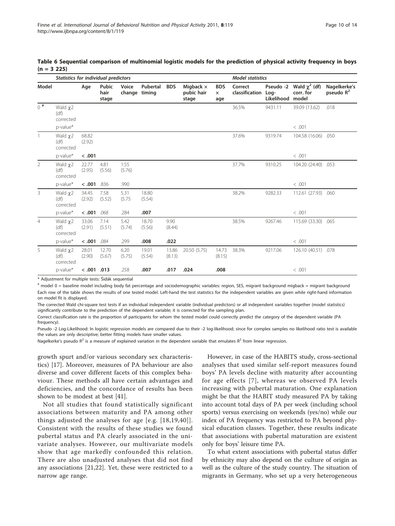|                  | Statistics for individual predictors           |                 |                        |                        |                 |                 |                                         |                               |                           | <b>Model statistics</b>         |                                          |                              |  |
|------------------|------------------------------------------------|-----------------|------------------------|------------------------|-----------------|-----------------|-----------------------------------------|-------------------------------|---------------------------|---------------------------------|------------------------------------------|------------------------------|--|
| Model            |                                                | Age             | Pubic<br>hair<br>stage | Voice<br>change timing | Pubertal        | <b>BDS</b>      | Migback $\times$<br>pubic hair<br>stage | <b>BDS</b><br>$\times$<br>age | Correct<br>classification | Pseudo -2<br>Log-<br>Likelihood | Wald $\chi^2$ (df)<br>corr. for<br>model | Nagelkerke's<br>pseudo $R^2$ |  |
| $0$ <sup>#</sup> | Wald $\chi$ 2<br>(df)<br>corrected<br>p-value* |                 |                        |                        |                 |                 |                                         |                               | 36.5%                     | 9431.11                         | 39.09 (13.62)<br>< .001                  | .018                         |  |
| $\mathbf{1}$     | Wald $\chi$ 2<br>(df)<br>corrected             | 68.82<br>(2.92) |                        |                        |                 |                 |                                         |                               | 37.6%                     | 9319.74                         | 104.58 (16.06) .050                      |                              |  |
|                  | p-value*                                       | < .001          |                        |                        |                 |                 |                                         |                               |                           |                                 | < .001                                   |                              |  |
| $\overline{2}$   | Wald $\chi$ 2<br>(df)<br>corrected             | 22.77<br>(2.95) | 4.81<br>(5.56)         | 1.55<br>(5.76)         |                 |                 |                                         |                               | 37.7%                     | 9310.25                         | 104.20 (24.40) .053                      |                              |  |
|                  | p-value*                                       | < .001          | .836                   | .990                   |                 |                 |                                         |                               |                           |                                 | < .001                                   |                              |  |
| 3                | Wald $\chi$ 2<br>(df)<br>corrected             | 34.45<br>(2.92) | 7.58<br>(5.52)         | 5.31<br>(5.75)         | 18.80<br>(5.54) |                 |                                         |                               | 38.2%                     | 9282.33                         | 112.61 (27.93) .060                      |                              |  |
|                  | p-value*                                       | < .001          | .068                   | .284                   | .007            |                 |                                         |                               |                           |                                 | < .001                                   |                              |  |
| $\overline{4}$   | Wald χ2<br>(df)<br>corrected                   | 33.06<br>(2.91) | 7.14<br>(5.51)         | 5.42<br>(5.74)         | 18.70<br>(5.56) | 9.90<br>(8.44)  |                                         |                               | 38.5%                     | 9267.46                         | 115.69 (33.30) .065                      |                              |  |
|                  | p-value*                                       | < .001          | .084                   | .299                   | .008            | .022            |                                         |                               |                           |                                 | < .001                                   |                              |  |
| 5                | Wald $\chi$ 2<br>(df)<br>corrected             | 28.01<br>(2.90) | 12.70<br>(5.67)        | 6.20<br>(5.75)         | 19.01<br>(5.54) | 13.86<br>(8.13) | 20.50 (5.75)                            | 14.73<br>(8.15)               | 38.3%                     | 9217.06                         | 126.10 (40.51) .078                      |                              |  |
|                  | p-value*                                       | < .001          | .013                   | .258                   | .007            | .017            | .024                                    | .008                          |                           |                                 | < .001                                   |                              |  |

<span id="page-9-0"></span>Table 6 Sequential comparison of multinomial logistic models for the prediction of physical activity frequency in boys  $(n = 3 225)$ 

\* Adjustment for multiple tests: Šidák sequential

# model 0 = baseline model including body fat percentage and sociodemographic variables: region, SES, migrant background migback = migrant background Each row of the table shows the results of one tested model. Left-hand the test statistics for the independent variables are given while right-hand information on model fit is displayed.

The corrected Wald chi-square test tests if an individual independent variable (individual predictors) or all independent variables together (model statistics) significantly contribute to the prediction of the dependent variable; it is corrected for the sampling plan.

Correct classification rate is the proportion of participants for whom the tested model could correctly predict the category of the dependent variable (PA frequency).

Pseudo -2 Log-Likelihood: In logistic regression models are compared due to their -2 log-likelihood; since for complex samples no likelihood ratio test is available the values are only descriptive; better fitting models have smaller values.

Nagelkerke's pseudo  $R^2$  is a measure of explained variation in the dependent variable that emulates  $R^2$  from linear regression.

growth spurt and/or various secondary sex characteristics) [[17\]](#page-12-0). Moreover, measures of PA behaviour are also diverse and cover different facets of this complex behaviour. These methods all have certain advantages and deficiencies, and the concordance of results has been shown to be modest at best [[41\]](#page-13-0).

Not all studies that found statistically significant associations between maturity and PA among other things adjusted the analyses for age [e.g. [[18](#page-12-0),[19](#page-12-0),[40](#page-13-0)]]. Consistent with the results of these studies we found pubertal status and PA clearly associated in the univariate analyses. However, our multivariate models show that age markedly confounded this relation. There are also unadjusted analyses that did not find any associations [\[21](#page-12-0),[22\]](#page-12-0). Yet, these were restricted to a narrow age range.

However, in case of the HABITS study, cross-sectional analyses that used similar self-report measures found boys' PA levels decline with maturity after accounting for age effects [[7](#page-12-0)], whereas we observed PA levels increasing with pubertal maturation. One explanation might be that the HABIT study measured PA by taking into account total days of PA per week (including school sports) versus exercising on weekends (yes/no) while our index of PA frequency was restricted to PA beyond physical education classes. Together, these results indicate that associations with pubertal maturation are existent only for boys' leisure time PA.

To what extent associations with pubertal status differ by ethnicity may also depend on the culture of origin as well as the culture of the study country. The situation of migrants in Germany, who set up a very heterogeneous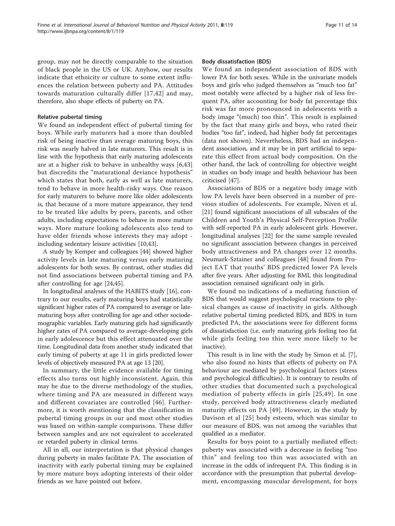group, may not be directly comparable to the situation of black people in the US or UK. Anyhow, our results indicate that ethnicity or culture to some extent influences the relation between puberty and PA. Attitudes towards maturation culturally differ [[17](#page-12-0),[42](#page-13-0)] and may, therefore, also shape effects of puberty on PA.

# Relative pubertal timing

We found an independent effect of pubertal timing for boys. While early maturers had a more than doubled risk of being inactive than average maturing boys, this risk was nearly halved in late maturers. This result is in line with the hypothesis that early maturing adolescents are at a higher risk to behave in unhealthy ways [[6,](#page-12-0)[43](#page-13-0)] but discredits the "maturational deviance hypothesis" which states that both, early as well as late maturers, tend to behave in more health-risky ways. One reason for early maturers to behave more like older adolescents is, that because of a more mature appearance, they tend to be treated like adults by peers, parents, and other adults, including expectations to behave in more mature ways. More mature looking adolescents also tend to have older friends whose interests they may adopt including sedentary leisure activities [\[10](#page-12-0)[,43\]](#page-13-0).

A study by Kemper and colleagues [[44](#page-13-0)] showed higher activity levels in late maturing versus early maturing adolescents for both sexes. By contrast, other studies did not find associations between pubertal timing and PA after controlling for age [[24](#page-12-0),[45](#page-13-0)].

In longitudinal analyses of the HABITS study [\[16](#page-12-0)], contrary to our results, early maturing boys had statistically significant higher rates of PA compared to average or latematuring boys after controlling for age and other sociodemographic variables. Early maturing girls had significantly higher rates of PA compared to average-developing girls in early adolescence but this effect attenuated over the time. Longitudinal data from another study indicated that early timing of puberty at age 11 in girls predicted lower levels of objectively measured PA at age 13 [\[20\]](#page-12-0).

In summary, the little evidence available for timing effects also turns out highly inconsistent. Again, this may be due to the diverse methodology of the studies, where timing and PA are measured in different ways and different covariates are controlled [[46](#page-13-0)]. Furthermore, it is worth mentioning that the classification in pubertal timing groups in our and most other studies was based on within-sample comparisons. These differ between samples and are not equivalent to accelerated or retarded puberty in clinical terms.

All in all, our interpretation is that physical changes during puberty in males facilitate PA. The association of inactivity with early pubertal timing may be explained by more mature boys adopting interests of their older friends as we have pointed out before.

# Body dissatisfaction (BDS)

We found an independent association of BDS with lower PA for both sexes. While in the univariate models boys and girls who judged themselves as "much too fat" most notably were affected by a higher risk of less frequent PA, after accounting for body fat percentage this risk was far more pronounced in adolescents with a body image "(much) too thin". This result is explained by the fact that many girls and boys, who rated their bodies "too fat", indeed, had higher body fat percentages (data not shown). Nevertheless, BDS had an independent association, and it may be in part artificial to separate this effect from actual body composition. On the other hand, the lack of controlling for objective weight in studies on body image and health behaviour has been criticised [[47](#page-13-0)].

Associations of BDS or a negative body image with low PA levels have been observed in a number of previous studies of adolescents. For example, Niven et al. [[21\]](#page-12-0) found significant associations of all subscales of the Children and Youth's Physical Self-Perception Profile with self-reported PA in early adolescent girls. However, longitudinal analyses [[22\]](#page-12-0) for the same sample revealed no significant association between changes in perceived body attractiveness and PA changes over 12 months. Neumark-Sztainer and colleagues [\[48](#page-13-0)] found from Project EAT that youths' BDS predicted lower PA levels after five years. After adjusting for BMI, this longitudinal association remained significant only in girls.

We found no indications of a mediating function of BDS that would suggest psychological reactions to physical changes as cause of inactivity in girls. Although relative pubertal timing predicted BDS, and BDS in turn predicted PA, the associations were for different forms of dissatisfaction (i.e. early maturing girls feeling too fat while girls feeling too thin were more likely to be inactive).

This result is in line with the study by Simon et al. [\[7](#page-12-0)], who also found no hints that effects of puberty on PA behaviour are mediated by psychological factors (stress and psychological difficulties). It is contrary to results of other studies that documented such a psychological mediation of puberty effects in girls [[25](#page-13-0),[49\]](#page-13-0). In one study, perceived body attractiveness clearly mediated maturity effects on PA [[49](#page-13-0)]. However, in the study by Davison et al [[25](#page-13-0)] body esteem, which was similar to our measure of BDS, was not among the variables that qualified as a mediator.

Results for boys point to a partially mediated effect: puberty was associated with a decrease in feeling "too thin" and feeling too thin was associated with an increase in the odds of infrequent PA. This finding is in accordance with the presumption that pubertal development, encompassing muscular development, for boys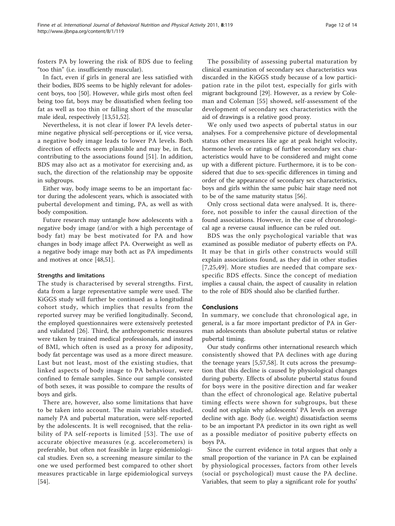fosters PA by lowering the risk of BDS due to feeling "too thin" (i.e. insufficiently muscular).

In fact, even if girls in general are less satisfied with their bodies, BDS seems to be highly relevant for adolescent boys, too [[50](#page-13-0)]. However, while girls most often feel being too fat, boys may be dissatisfied when feeling too fat as well as too thin or falling short of the muscular male ideal, respectively [\[13](#page-12-0)[,51,52\]](#page-13-0).

Nevertheless, it is not clear if lower PA levels determine negative physical self-perceptions or if, vice versa, a negative body image leads to lower PA levels. Both direction of effects seem plausible and may be, in fact, contributing to the associations found [\[51](#page-13-0)]. In addition, BDS may also act as a motivator for exercising and, as such, the direction of the relationship may be opposite in subgroups.

Either way, body image seems to be an important factor during the adolescent years, which is associated with pubertal development and timing, PA, as well as with body composition.

Future research may untangle how adolescents with a negative body image (and/or with a high percentage of body fat) may be best motivated for PA and how changes in body image affect PA. Overweight as well as a negative body image may both act as PA impediments and motives at once [\[48,51\]](#page-13-0).

# Strengths and limitations

The study is characterised by several strengths. First, data from a large representative sample were used. The KiGGS study will further be continued as a longitudinal cohort study, which implies that results from the reported survey may be verified longitudinally. Second, the employed questionnaires were extensively pretested and validated [[26](#page-13-0)]. Third, the anthropometric measures were taken by trained medical professionals, and instead of BMI, which often is used as a proxy for adiposity, body fat percentage was used as a more direct measure. Last but not least, most of the existing studies, that linked aspects of body image to PA behaviour, were confined to female samples. Since our sample consisted of both sexes, it was possible to compare the results of boys and girls.

There are, however, also some limitations that have to be taken into account. The main variables studied, namely PA and pubertal maturation, were self-reported by the adolescents. It is well recognised, that the reliability of PA self-reports is limited [[53\]](#page-13-0). The use of accurate objective measures (e.g. accelerometers) is preferable, but often not feasible in large epidemiological studies. Even so, a screening measure similar to the one we used performed best compared to other short measures practicable in large epidemiological surveys [[54\]](#page-13-0).

The possibility of assessing pubertal maturation by clinical examination of secondary sex characteristics was discarded in the KiGGS study because of a low participation rate in the pilot test, especially for girls with migrant background [[29](#page-13-0)]. However, as a review by Coleman and Coleman [[55\]](#page-13-0) showed, self-assessment of the development of secondary sex characteristics with the aid of drawings is a relative good proxy.

We only used two aspects of pubertal status in our analyses. For a comprehensive picture of developmental status other measures like age at peak height velocity, hormone levels or ratings of further secondary sex characteristics would have to be considered and might come up with a different picture. Furthermore, it is to be considered that due to sex-specific differences in timing and order of the appearance of secondary sex characteristics, boys and girls within the same pubic hair stage need not to be of the same maturity status [[56\]](#page-13-0).

Only cross sectional data were analysed. It is, therefore, not possible to infer the causal direction of the found associations. However, in the case of chronological age a reverse causal influence can be ruled out.

BDS was the only psychological variable that was examined as possible mediator of puberty effects on PA. It may be that in girls other constructs would still explain associations found, as they did in other studies [[7](#page-12-0),[25](#page-13-0),[49\]](#page-13-0). More studies are needed that compare sexspecific BDS effects. Since the concept of mediation implies a causal chain, the aspect of causality in relation to the role of BDS should also be clarified further.

# **Conclusions**

In summary, we conclude that chronological age, in general, is a far more important predictor of PA in German adolescents than absolute pubertal status or relative pubertal timing.

Our study confirms other international research which consistently showed that PA declines with age during the teenage years [[5](#page-12-0)[,57](#page-13-0),[58\]](#page-13-0). It cuts across the presumption that this decline is caused by physiological changes during puberty. Effects of absolute pubertal status found for boys were in the positive direction and far weaker than the effect of chronological age. Relative pubertal timing effects were shown for subgroups, but these could not explain why adolescents' PA levels on average decline with age. Body (i.e. weight) dissatisfaction seems to be an important PA predictor in its own right as well as a possible mediator of positive puberty effects on boys PA.

Since the current evidence in total argues that only a small proportion of the variance in PA can be explained by physiological processes, factors from other levels (social or psychological) must cause the PA decline. Variables, that seem to play a significant role for youths'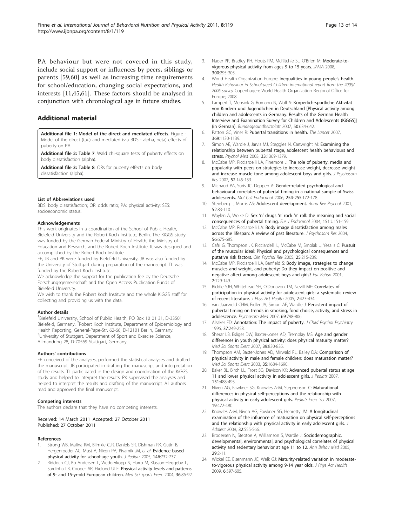<span id="page-12-0"></span>PA behaviour but were not covered in this study, include social support or influences by peers, siblings or parents [\[59](#page-13-0),[60\]](#page-13-0) as well as increasing time requirements for school/education, changing social expectations, and interests [11[,45,61](#page-13-0)]. These factors should be analysed in conjunction with chronological age in future studies.

# Additional material

[Additional file 1: M](http://www.biomedcentral.com/content/supplementary/1479-5868-8-119-S1.PDF)odel of the direct and mediated effects. Figure -Model of the direct (tau) and mediated (via BDS - alpha, beta) effects of puberty on PA.

[Additional file 2: T](http://www.biomedcentral.com/content/supplementary/1479-5868-8-119-S2.PDF)able 7. Wald chi-square tests of puberty effects on body dissatisfaction (alpha).

[Additional file 3: T](http://www.biomedcentral.com/content/supplementary/1479-5868-8-119-S3.PDF)able 8. ORs for puberty effects on body dissatisfaction (alpha).

#### List of Abbreviations used

BDS: body dissatisfaction; OR: odds ratio; PA: physical activity; SES: socioeconomic status.

# Acknowledgements

This work originates in a coordination of the School of Public Health, Bielefeld University and the Robert Koch Institute, Berlin. The KiGGS study was funded by the German Federal Ministry of Health, the Ministry of Education and Research, and the Robert Koch Institute. It was designed and accomplished by the Robert Koch Institute.

EF, JB and PK were funded by Bielefeld University, JB was also funded by the University of Stuttgart during preparation of the manuscript. TL was funded by the Robert Koch Institute.

We acknowledge the support for the publication fee by the Deutsche Forschungsgemeinschaft and the Open Access Publication Funds of Bielefeld University.

We wish to thank the Robert Koch Institute and the whole KiGGS staff for collecting and providing us with the data.

#### Author details

<sup>1</sup> Bielefeld University, School of Public Health, PO Box 10 01 31, D-33501 Bielefeld, Germany. <sup>2</sup>Robert Koch Institute, Department of Epidemiology and Health Reporting, General-Pape-Str. 62-66, D-12101 Berlin, Germany. <sup>3</sup>University of Stuttgart, Department of Sport and Exercise Science, Allmandring 28, D-70569 Stuttgart, Germany.

### Authors' contributions

EF conceived of the analyses, performed the statistical analyses and drafted the manuscript. JB participated in drafting the manuscript and interpretation of the results. TL participated in the design and coordination of the KiGGS study and helped to interpret the results. PK supervised the analyses and helped to interpret the results and drafting of the manuscript. All authors read and approved the final manuscript.

# Competing interests

The authors declare that they have no competing interests.

Received: 14 March 2011 Accepted: 27 October 2011 Published: 27 October 2011

#### References

- 1. Strong WB, Malina RM, Blimkie CJR, Daniels SR, Dishman RK, Gutin B, Hergenroeder AC, Must A, Nixon PA, Pivarnik JM, et al: [Evidence based](http://www.ncbi.nlm.nih.gov/pubmed/15973308?dopt=Abstract) [physical activity for school-age youth.](http://www.ncbi.nlm.nih.gov/pubmed/15973308?dopt=Abstract) J Pediatr 2005, 146:732-737.
- Riddoch CJ, Bo Andersen L, Wedderkopp N, Harro M, Klasson-Heggebø L, Sardinha LB, Cooper AR, Ekelund ULF: [Physical activity levels and patterns](http://www.ncbi.nlm.nih.gov/pubmed/14707773?dopt=Abstract) [of 9- and 15-yr-old European children.](http://www.ncbi.nlm.nih.gov/pubmed/14707773?dopt=Abstract) Med Sci Sports Exerc 2004, 36:86-92.
- 3. Nader PR, Bradley RH, Houts RM, McRitchie SL, O'Brien M: [Moderate-to](http://www.ncbi.nlm.nih.gov/pubmed/18632544?dopt=Abstract)[vigorous physical activity from ages 9 to 15 years.](http://www.ncbi.nlm.nih.gov/pubmed/18632544?dopt=Abstract) JAMA 2008, 300:295-305.
- 4. World Health Organization Europe: Inequalities in young people's health. Health Behaviour in School-aged Children international report from the 2005/ 2006 survey Copenhagen: World Health Organization Regional Office for Europe; 2008.
- 5. Lampert T, Mensink G, Romahn N, Woll A: Körperlich-sportliche Aktivität von Kindern und Jugendlichen in Deutschland [Physical activity among children and adolescents in Germany. Results of the German Health Interview and Examination Survey for Children and Adolescents (KiGGS)] (in German). Bundesgesundheitsblatt 2007, 50:634-642.
- 6. Patton GC, Viner R: Pubertal transitions in health. The Lancet 2007, 369:1130-1139.
- 7. Simon AE, Wardle J, Jarvis MJ, Steggles N, Cartwright M: [Examining the](http://www.ncbi.nlm.nih.gov/pubmed/14672245?dopt=Abstract) [relationship between pubertal stage, adolescent health behaviours and](http://www.ncbi.nlm.nih.gov/pubmed/14672245?dopt=Abstract) [stress.](http://www.ncbi.nlm.nih.gov/pubmed/14672245?dopt=Abstract) Psychol Med 2003, 33:1369-1379.
- 8. McCabe MP, Ricciardelli LA, Finemore J: [The role of puberty, media and](http://www.ncbi.nlm.nih.gov/pubmed/11897233?dopt=Abstract) [popularity with peers on strategies to increase weight, decrease weight](http://www.ncbi.nlm.nih.gov/pubmed/11897233?dopt=Abstract) [and increase muscle tone among adolescent boys and girls.](http://www.ncbi.nlm.nih.gov/pubmed/11897233?dopt=Abstract) J Psychosom Res 2002, 52:145-153.
- 9. Michaud PA, Suris JC, Deppen A: [Gender-related psychological and](http://www.ncbi.nlm.nih.gov/pubmed/16806671?dopt=Abstract) [behavioural correlates of pubertal timing in a national sample of Swiss](http://www.ncbi.nlm.nih.gov/pubmed/16806671?dopt=Abstract) [adolescents.](http://www.ncbi.nlm.nih.gov/pubmed/16806671?dopt=Abstract) Mol Cell Endocrinol 2006, 254-255:172-178.
- 10. Steinberg L, Morris AS: [Adolescent development.](http://www.ncbi.nlm.nih.gov/pubmed/11148300?dopt=Abstract) Annu Rev Psychol 2001. 52:83-110.
- 11. Waylen A, Wolke D: Sex 'n' drugs 'n' rock 'n' [roll: the meaning and social](http://www.ncbi.nlm.nih.gov/pubmed/15554900?dopt=Abstract) [consequences of pubertal timing.](http://www.ncbi.nlm.nih.gov/pubmed/15554900?dopt=Abstract) Eur J Endocrinol 2004, 151:U151-159.
- 12. McCabe MP, Ricciardelli LA: [Body image dissatisfaction among males](http://www.ncbi.nlm.nih.gov/pubmed/15193964?dopt=Abstract) [across the lifespan: A review of past literature.](http://www.ncbi.nlm.nih.gov/pubmed/15193964?dopt=Abstract) J Psychosom Res 2004, 56:675-685.
- 13. Cafri G, Thompson JK, Ricciardelli L, McCabe M, Smolak L, Yesalis C: [Pursuit](http://www.ncbi.nlm.nih.gov/pubmed/15642647?dopt=Abstract) [of the muscular ideal: Physical and psychological consequences and](http://www.ncbi.nlm.nih.gov/pubmed/15642647?dopt=Abstract) [putative risk factors.](http://www.ncbi.nlm.nih.gov/pubmed/15642647?dopt=Abstract) Clin Psychol Rev 2005, 25:215-239.
- 14. McCabe MP, Ricciardelli LA, Banfield S: [Body image, strategies to change](http://www.ncbi.nlm.nih.gov/pubmed/15001042?dopt=Abstract) [muscles and weight, and puberty: Do they impact on positive and](http://www.ncbi.nlm.nih.gov/pubmed/15001042?dopt=Abstract) [negative affect among adolescent boys and girls?](http://www.ncbi.nlm.nih.gov/pubmed/15001042?dopt=Abstract) Eat Behav 2001, 2:129-149.
- 15. Biddle SJH, Whitehead SH, O'Donavon TM, Nevill ME: Correlates of participation in physical activity for adolescent girls: a systematic review of recent literature. J Phys Act Health 2005, 2:423-434.
- 16. van Jaarsveld CHM, Fidler JA, Simon AE, Wardle J: [Persistent impact of](http://www.ncbi.nlm.nih.gov/pubmed/17942841?dopt=Abstract) [pubertal timing on trends in smoking, food choice, activity, and stress in](http://www.ncbi.nlm.nih.gov/pubmed/17942841?dopt=Abstract) [adolescence.](http://www.ncbi.nlm.nih.gov/pubmed/17942841?dopt=Abstract) Psychosom Med 2007, 69:798-806.
- 17. Alsaker FD: [Annotation: The impact of puberty.](http://www.ncbi.nlm.nih.gov/pubmed/8707909?dopt=Abstract) J Child Psychol Psychiatry 1996, 37:249-258.
- 18. Sherar LB, Esliger DW, Baxter-Jones AD, Tremblay MS: [Age and gender](http://www.ncbi.nlm.nih.gov/pubmed/17468582?dopt=Abstract) [differences in youth physical activity: does physical maturity matter?](http://www.ncbi.nlm.nih.gov/pubmed/17468582?dopt=Abstract) Med Sci Sports Exerc 2007, 39:830-835.
- 19. Thompson AM, Baxter-Jones AD, Mirwald RL, Bailey DA: [Comparison of](http://www.ncbi.nlm.nih.gov/pubmed/14523305?dopt=Abstract) [physical activity in male and female children: does maturation matter?](http://www.ncbi.nlm.nih.gov/pubmed/14523305?dopt=Abstract) Med Sci Sports Exerc 2003, 35:1684-1690.
- 20. Baker BL, Birch LL, Trost SG, Davison KK: [Advanced pubertal status at age](http://www.ncbi.nlm.nih.gov/pubmed/17961691?dopt=Abstract) [11 and lower physical activity in adolescent girls.](http://www.ncbi.nlm.nih.gov/pubmed/17961691?dopt=Abstract) J Pediatr 2007, 151:488-493.
- 21. Niven AG, Fawkner SG, Knowles A-M, Stephenson C: [Maturational](http://www.ncbi.nlm.nih.gov/pubmed/18089913?dopt=Abstract) [differences in physical self-perceptions and the relationship with](http://www.ncbi.nlm.nih.gov/pubmed/18089913?dopt=Abstract) [physical activity in early adolescent girls.](http://www.ncbi.nlm.nih.gov/pubmed/18089913?dopt=Abstract) Pediatr Exerc Sci 2007, 19:472-480.
- 22. Knowles A-M, Niven AG, Fawkner SG, Henretty JM: [A longitudinal](http://www.ncbi.nlm.nih.gov/pubmed/18692232?dopt=Abstract) [examination of the influence of maturation on physical self-perceptions](http://www.ncbi.nlm.nih.gov/pubmed/18692232?dopt=Abstract) [and the relationship with physical activity in early adolescent girls.](http://www.ncbi.nlm.nih.gov/pubmed/18692232?dopt=Abstract) J Adolesc 2009, 32:555-566.
- 23. Brodersen N, Steptoe A, Williamson S, Wardle J: [Sociodemographic,](http://www.ncbi.nlm.nih.gov/pubmed/15677295?dopt=Abstract) [developmental, environmental, and psychological correlates of physical](http://www.ncbi.nlm.nih.gov/pubmed/15677295?dopt=Abstract) [activity and sedentary behavior at age 11 to 12.](http://www.ncbi.nlm.nih.gov/pubmed/15677295?dopt=Abstract) Ann Behav Med 2005, 29:2-11.
- 24. Wickel EE, Eisenmann JC, Welk GJ: [Maturity-related variation in moderate](http://www.ncbi.nlm.nih.gov/pubmed/19953836?dopt=Abstract)[to-vigorous physical activity among 9-14 year olds.](http://www.ncbi.nlm.nih.gov/pubmed/19953836?dopt=Abstract) J Phys Act Health 2009, 6:597-605.